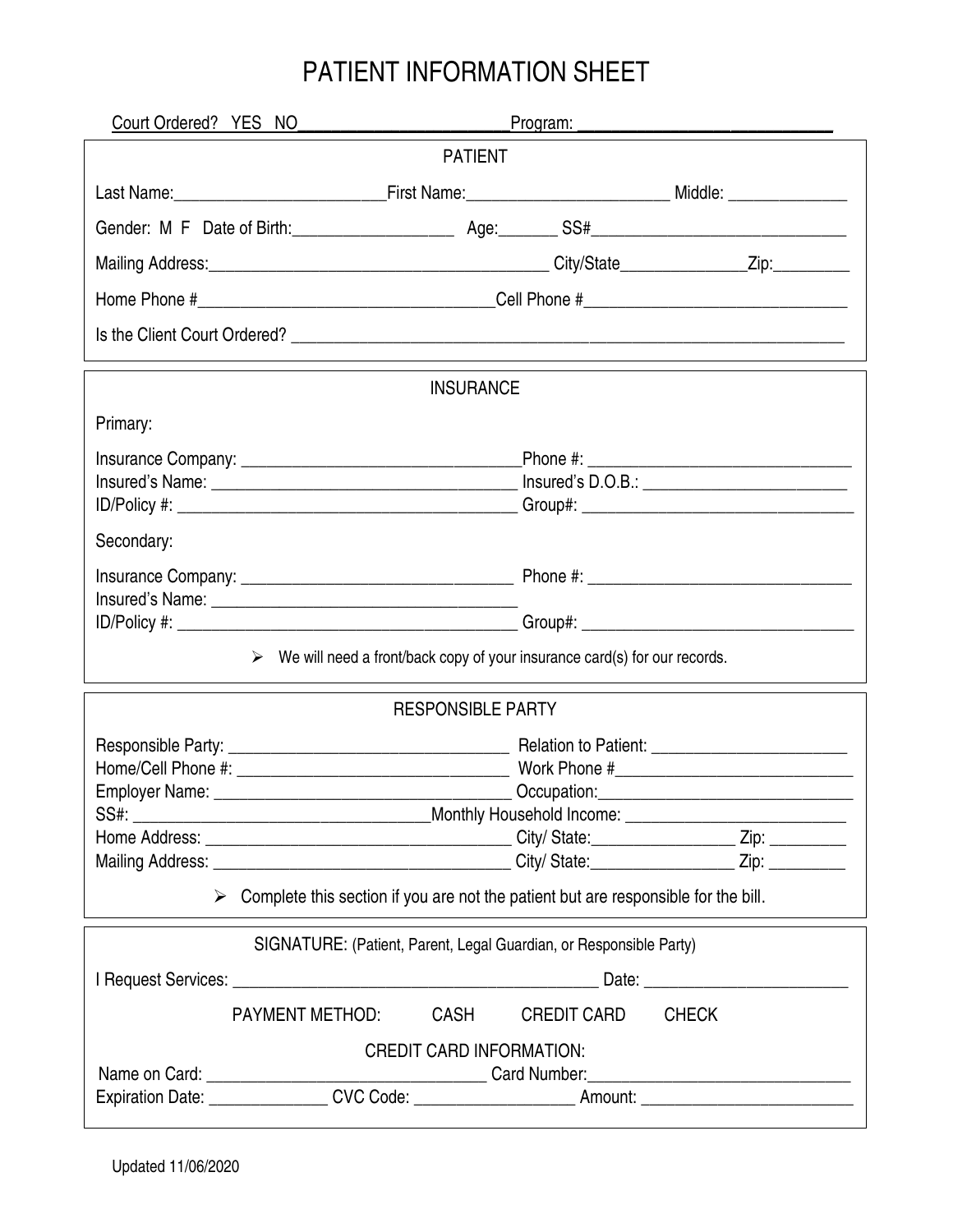## PATIENT INFORMATION SHEET

| Court Ordered? YES NO                                                                               |                                                                                                                                                                                                                                                                                                                   |              |  |  |
|-----------------------------------------------------------------------------------------------------|-------------------------------------------------------------------------------------------------------------------------------------------------------------------------------------------------------------------------------------------------------------------------------------------------------------------|--------------|--|--|
| <b>PATIENT</b>                                                                                      |                                                                                                                                                                                                                                                                                                                   |              |  |  |
|                                                                                                     |                                                                                                                                                                                                                                                                                                                   |              |  |  |
|                                                                                                     |                                                                                                                                                                                                                                                                                                                   |              |  |  |
|                                                                                                     |                                                                                                                                                                                                                                                                                                                   |              |  |  |
|                                                                                                     |                                                                                                                                                                                                                                                                                                                   |              |  |  |
|                                                                                                     |                                                                                                                                                                                                                                                                                                                   |              |  |  |
|                                                                                                     | <b>INSURANCE</b>                                                                                                                                                                                                                                                                                                  |              |  |  |
| Primary:                                                                                            |                                                                                                                                                                                                                                                                                                                   |              |  |  |
|                                                                                                     |                                                                                                                                                                                                                                                                                                                   |              |  |  |
|                                                                                                     |                                                                                                                                                                                                                                                                                                                   |              |  |  |
| Secondary:                                                                                          |                                                                                                                                                                                                                                                                                                                   |              |  |  |
|                                                                                                     |                                                                                                                                                                                                                                                                                                                   |              |  |  |
|                                                                                                     |                                                                                                                                                                                                                                                                                                                   |              |  |  |
|                                                                                                     |                                                                                                                                                                                                                                                                                                                   |              |  |  |
|                                                                                                     | $\triangleright$ We will need a front/back copy of your insurance card(s) for our records.                                                                                                                                                                                                                        |              |  |  |
|                                                                                                     | <b>RESPONSIBLE PARTY</b>                                                                                                                                                                                                                                                                                          |              |  |  |
|                                                                                                     |                                                                                                                                                                                                                                                                                                                   |              |  |  |
|                                                                                                     |                                                                                                                                                                                                                                                                                                                   |              |  |  |
| SS#:                                                                                                | Employer Name: Contract Contract Contract Contract Contract Contract Contract Contract Contract Contract Contract Contract Contract Contract Contract Contract Contract Contract Contract Contract Contract Contract Contract<br>_________________________________Monthly Household Income: _____________________ |              |  |  |
|                                                                                                     |                                                                                                                                                                                                                                                                                                                   |              |  |  |
|                                                                                                     |                                                                                                                                                                                                                                                                                                                   |              |  |  |
| $\triangleright$ Complete this section if you are not the patient but are responsible for the bill. |                                                                                                                                                                                                                                                                                                                   |              |  |  |
| SIGNATURE: (Patient, Parent, Legal Guardian, or Responsible Party)                                  |                                                                                                                                                                                                                                                                                                                   |              |  |  |
|                                                                                                     |                                                                                                                                                                                                                                                                                                                   |              |  |  |
| <b>PAYMENT METHOD:</b>                                                                              | <b>CASH</b><br><b>CREDIT CARD</b>                                                                                                                                                                                                                                                                                 | <b>CHECK</b> |  |  |
| <b>CREDIT CARD INFORMATION:</b>                                                                     |                                                                                                                                                                                                                                                                                                                   |              |  |  |
|                                                                                                     |                                                                                                                                                                                                                                                                                                                   |              |  |  |
|                                                                                                     |                                                                                                                                                                                                                                                                                                                   |              |  |  |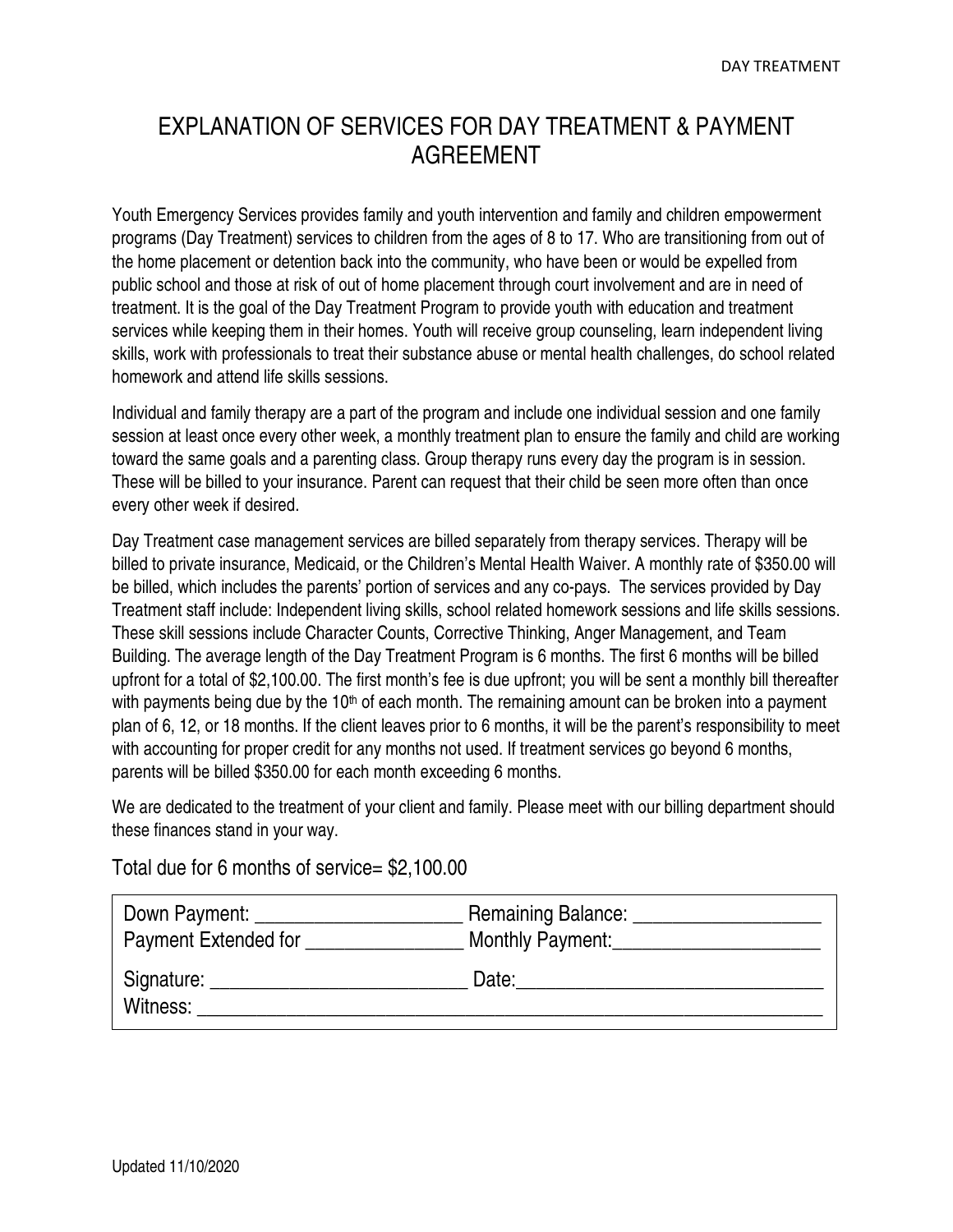## EXPLANATION OF SERVICES FOR DAY TREATMENT & PAYMENT AGREEMENT

Youth Emergency Services provides family and youth intervention and family and children empowerment programs (Day Treatment) services to children from the ages of 8 to 17. Who are transitioning from out of the home placement or detention back into the community, who have been or would be expelled from public school and those at risk of out of home placement through court involvement and are in need of treatment. It is the goal of the Day Treatment Program to provide youth with education and treatment services while keeping them in their homes. Youth will receive group counseling, learn independent living skills, work with professionals to treat their substance abuse or mental health challenges, do school related homework and attend life skills sessions.

Individual and family therapy are a part of the program and include one individual session and one family session at least once every other week, a monthly treatment plan to ensure the family and child are working toward the same goals and a parenting class. Group therapy runs every day the program is in session. These will be billed to your insurance. Parent can request that their child be seen more often than once every other week if desired.

Day Treatment case management services are billed separately from therapy services. Therapy will be billed to private insurance, Medicaid, or the Children's Mental Health Waiver. A monthly rate of \$350.00 will be billed, which includes the parents' portion of services and any co-pays. The services provided by Day Treatment staff include: Independent living skills, school related homework sessions and life skills sessions. These skill sessions include Character Counts, Corrective Thinking, Anger Management, and Team Building. The average length of the Day Treatment Program is 6 months. The first 6 months will be billed upfront for a total of \$2,100.00. The first month's fee is due upfront; you will be sent a monthly bill thereafter with payments being due by the 10<sup>th</sup> of each month. The remaining amount can be broken into a payment plan of 6, 12, or 18 months. If the client leaves prior to 6 months, it will be the parent's responsibility to meet with accounting for proper credit for any months not used. If treatment services go beyond 6 months, parents will be billed \$350.00 for each month exceeding 6 months.

We are dedicated to the treatment of your client and family. Please meet with our billing department should these finances stand in your way.

## Total due for 6 months of service= \$2,100.00

| Down Payment:               | <b>Remaining Balance:</b> |
|-----------------------------|---------------------------|
| <b>Payment Extended for</b> | Monthly Payment:          |
| Signature:<br>Witness:      | Date:                     |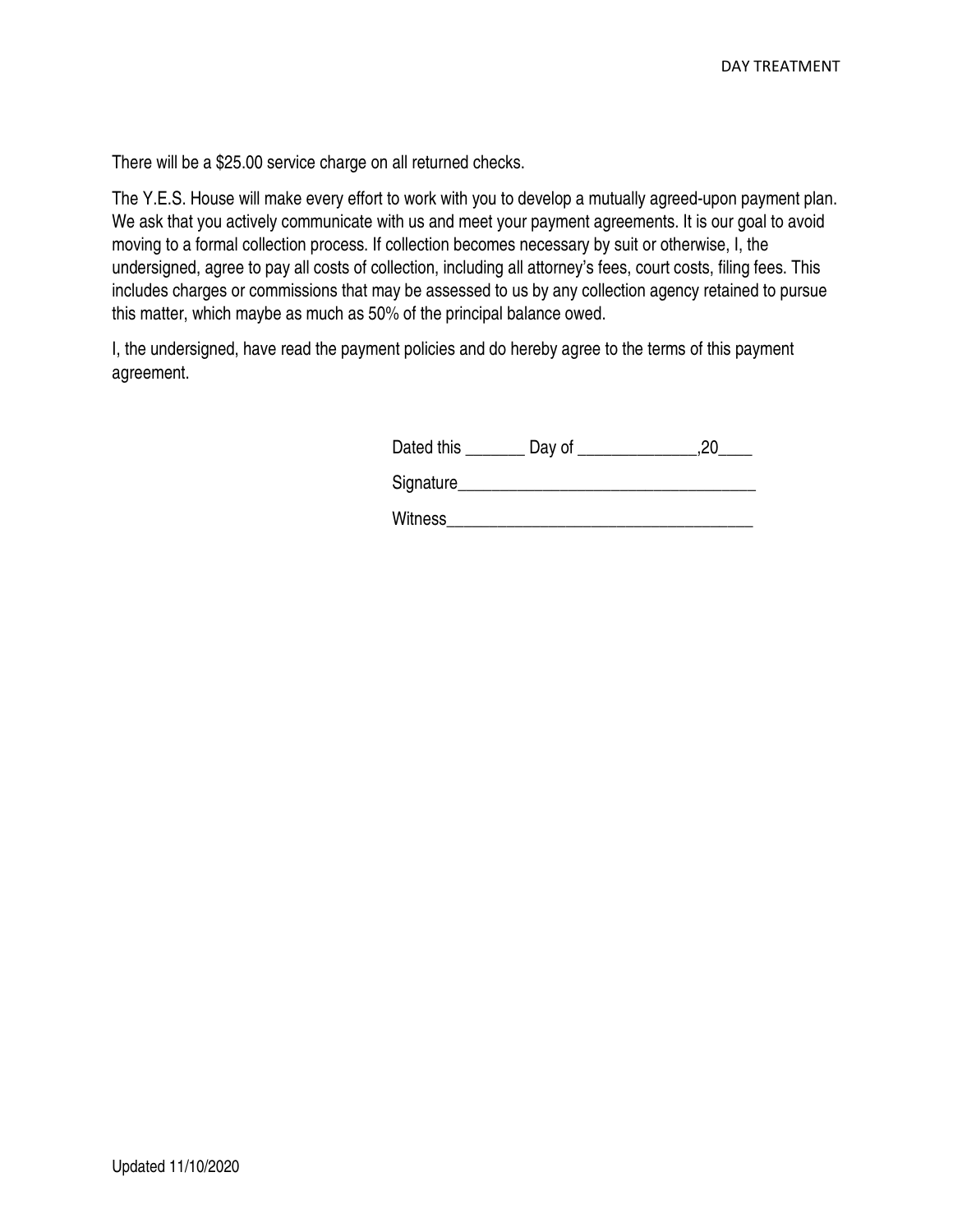There will be a \$25.00 service charge on all returned checks.

The Y.E.S. House will make every effort to work with you to develop a mutually agreed-upon payment plan. We ask that you actively communicate with us and meet your payment agreements. It is our goal to avoid moving to a formal collection process. If collection becomes necessary by suit or otherwise, I, the undersigned, agree to pay all costs of collection, including all attorney's fees, court costs, filing fees. This includes charges or commissions that may be assessed to us by any collection agency retained to pursue this matter, which maybe as much as 50% of the principal balance owed.

I, the undersigned, have read the payment policies and do hereby agree to the terms of this payment agreement.

| Dated this | Jav of | nr<br>- - |
|------------|--------|-----------|
|------------|--------|-----------|

| Signature |
|-----------|
| $\sim$    |

Witness **with the set of the set of the set of the set of the set of the set of the set of the set of the set of the set of the set of the set of the set of the set of the set of the set of the set of the set of the set of**